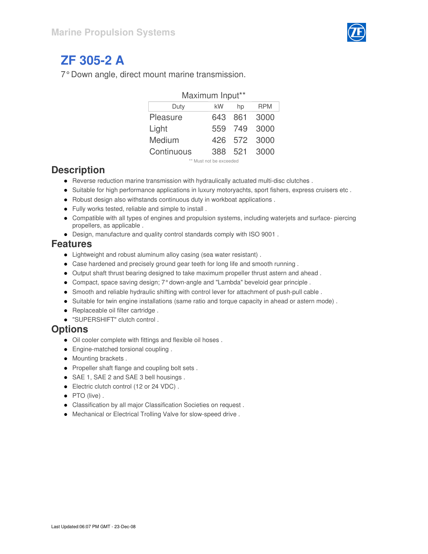

# **ZF 305-2 A**

7° Down angle, direct mount marine transmission.

| Maximum Input** |    |         |              |  |  |  |  |  |  |  |  |  |
|-----------------|----|---------|--------------|--|--|--|--|--|--|--|--|--|
| Duty            | kW | hp      | <b>RPM</b>   |  |  |  |  |  |  |  |  |  |
| Pleasure        |    | 643 861 | 3000         |  |  |  |  |  |  |  |  |  |
| Light           |    | 559 749 | 3000         |  |  |  |  |  |  |  |  |  |
| Medium          |    | 426 572 | 3000         |  |  |  |  |  |  |  |  |  |
| Continuous      |    |         | 388 521 3000 |  |  |  |  |  |  |  |  |  |
|                 |    |         |              |  |  |  |  |  |  |  |  |  |

Must not be exceeded

#### **Description**

- Reverse reduction marine transmission with hydraulically actuated multi-disc clutches .
- Suitable for high performance applications in luxury motoryachts, sport fishers, express cruisers etc.
- Robust design also withstands continuous duty in workboat applications .
- Fully works tested, reliable and simple to install .
- Compatible with all types of engines and propulsion systems, including waterjets and surface- piercing propellers, as applicable .
- Design, manufacture and quality control standards comply with ISO 9001 .

#### **Features**

- Lightweight and robust aluminum alloy casing (sea water resistant) .
- Case hardened and precisely ground gear teeth for long life and smooth running .
- Output shaft thrust bearing designed to take maximum propeller thrust astern and ahead .
- Compact, space saving design; 7° down-angle and "Lambda" beveloid gear principle .
- Smooth and reliable hydraulic shifting with control lever for attachment of push-pull cable .
- Suitable for twin engine installations (same ratio and torque capacity in ahead or astern mode).
- Replaceable oil filter cartridge.
- "SUPERSHIFT" clutch control .

#### **Options**

- Oil cooler complete with fittings and flexible oil hoses .
- **•** Engine-matched torsional coupling .
- Mounting brackets.
- Propeller shaft flange and coupling bolt sets.
- SAE 1, SAE 2 and SAE 3 bell housings .
- Electric clutch control (12 or 24 VDC) .
- PTO (live).
- Classification by all major Classification Societies on request .
- Mechanical or Electrical Trolling Valve for slow-speed drive .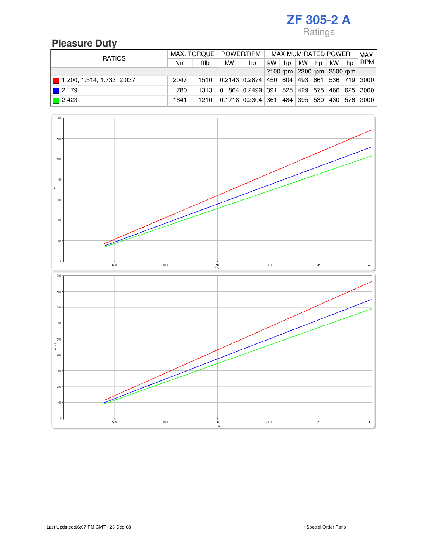### **Pleasure Duty**

| <b>RATIOS</b>              |      |      | MAX. TORQUE   POWER/RPM    |                                                              | <b>MAXIMUM RATED POWER</b> |    |             |    |    |    | MAX.             |
|----------------------------|------|------|----------------------------|--------------------------------------------------------------|----------------------------|----|-------------|----|----|----|------------------|
|                            | Nm   | ftlb | kW                         | hp                                                           | kW                         | hp | kW.         | hp | kW | hp | <b>RPM</b>       |
|                            |      |      | 2100 rpm 2300 rpm 2500 rpm |                                                              |                            |    |             |    |    |    |                  |
| 1.200, 1.514, 1.733, 2.037 | 2047 | 1510 |                            | $0.2143$ $0.2874$ $450$ $604$ $493$ $661$ $536$ $719$ $3000$ |                            |    |             |    |    |    |                  |
| $\blacksquare$ 2.179       | 1780 | 1313 |                            | $0.1864$ $0.2499$ 391 525 429 575                            |                            |    |             |    |    |    | 466 625 3000     |
| $\boxed{ }$ 2.423          | 1641 | 1210 |                            | 0.1718 0.2304 361                                            |                            |    | 484 395 530 |    |    |    | 430   576   3000 |

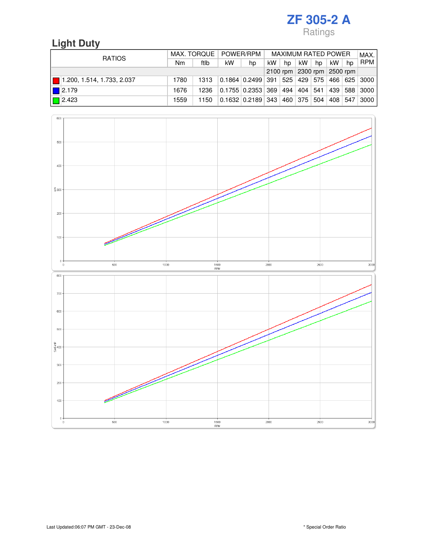## **Light Duty**

| <b>RATIOS</b> |                            |      | MAX. TORQUE   POWER/RPM |    |                                            |     |    | MAXIMUM RATED POWER |    |         |    |            |
|---------------|----------------------------|------|-------------------------|----|--------------------------------------------|-----|----|---------------------|----|---------|----|------------|
|               |                            | Nm   | ftlb                    | kW | hp                                         | kW. | hp | kW                  | hp | kW      | hp | <b>RPM</b> |
|               |                            |      |                         |    | 2100 rpm 2300 rpm 2500 rpm                 |     |    |                     |    |         |    |            |
|               | 1.200, 1.514, 1.733, 2.037 | 1780 | 1313                    |    | 0.1864 0.2499 391 525 429 575 466 625 3000 |     |    |                     |    |         |    |            |
|               | $\blacksquare$ 2.179       | 1676 | 1236                    |    | $0.1755$ $0.2353$ 369 494 404 541          |     |    |                     |    | 439     |    | 588 3000   |
|               | $\boxed{ }$ 2.423          | 1559 | 1150                    |    | $0.1632$ $0.2189$ 343 460 375 504          |     |    |                     |    | 408 547 |    | 3000 l     |

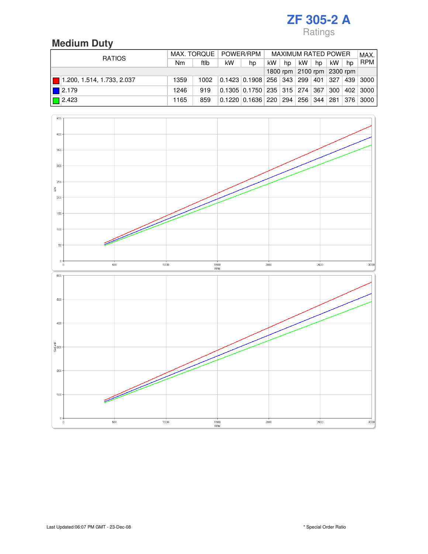## **Medium Duty**

| <b>RATIOS</b>              |      |      | MAX. TORQUE   POWER/RPM    |                                                              |    |    | <b>MAXIMUM RATED POWER</b> |    |     |    | MAX.       |
|----------------------------|------|------|----------------------------|--------------------------------------------------------------|----|----|----------------------------|----|-----|----|------------|
|                            | Nm   | ftlb | kW                         | hp                                                           | kW | hp | kW.                        | hp | kW. | hp | <b>RPM</b> |
|                            |      |      | 1800 rpm 2100 rpm 2300 rpm |                                                              |    |    |                            |    |     |    |            |
| 1.200, 1.514, 1.733, 2.037 | 1359 | 1002 |                            | $0.1423$ $0.1908$ $256$ $343$ $299$ $401$ $327$ $439$ $3000$ |    |    |                            |    |     |    |            |
| $\blacksquare$ 2.179       | 1246 | 919  |                            | $0.1305$ $0.1750$ $235$ $315$ $274$ $367$ $300$              |    |    |                            |    |     |    | 402 3000   |
| $\boxed{2.423}$            | 1165 | 859  |                            | $0.1220$ $0.1636$ $220$ $294$ $256$ $344$ $281$ $376$ $3000$ |    |    |                            |    |     |    |            |

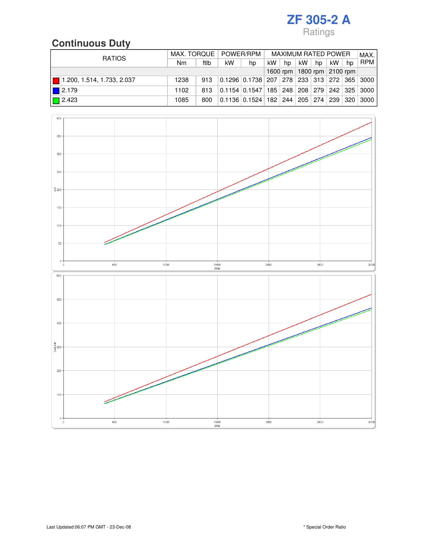## **Continuous Duty**

| <b>RATIOS</b>              | MAX. TORQUE   POWER/RPM |      |                                |                                                            |     |    |     | <b>MAXIMUM RATED POWER</b> |    |    | MAX.       |
|----------------------------|-------------------------|------|--------------------------------|------------------------------------------------------------|-----|----|-----|----------------------------|----|----|------------|
|                            | N <sub>m</sub>          | ftlb | kW                             | hp                                                         | kW. | hp | kW. | hp                         | kW | hp | <b>RPM</b> |
|                            |                         |      | 1600 rpm   1800 rpm   2100 rpm |                                                            |     |    |     |                            |    |    |            |
| 1.200, 1.514, 1.733, 2.037 | 1238                    | 913  |                                | 0.1296 0.1738 207 278 233 313 272 365 3000                 |     |    |     |                            |    |    |            |
| $\blacksquare$ 2.179       | 1102                    | 813  |                                | 0.1154   0.1547   185   248   208   279   242   325   3000 |     |    |     |                            |    |    |            |
| $\boxed{2.423}$            | 1085                    | 800  |                                | 0.1136 0.1524 182 244 205 274 239 320 3000                 |     |    |     |                            |    |    |            |

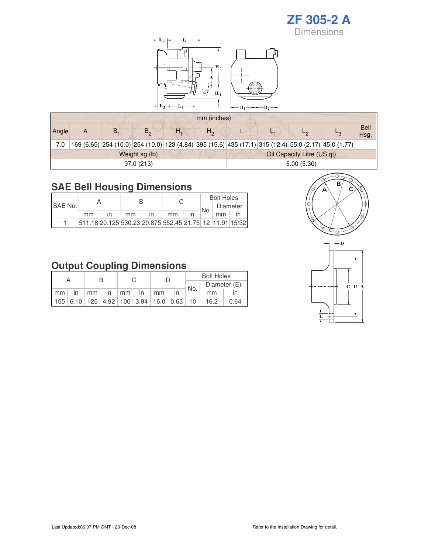

### **SAE Bell Housing Dimensions**

|                 |    |                                                           |    |      | <b>Bolt Holes</b> |  |
|-----------------|----|-----------------------------------------------------------|----|------|-------------------|--|
| <b>ISAE No.</b> |    |                                                           |    | ∃No. | Diameter          |  |
|                 | mm | mm                                                        | mm |      | mm                |  |
|                 |    | 511.18 20.125 530.23 20.875 552.45 21.75 12 11.91 15/32 1 |    |      |                   |  |

#### **Output Coupling Dimensions**

|    | А                                       |    |    |                 |    |    |      | <b>Bolt Holes</b> |      |  |
|----|-----------------------------------------|----|----|-----------------|----|----|------|-------------------|------|--|
|    |                                         |    |    |                 |    |    | `No. | Diameter (E)      |      |  |
| mm | $\mathsf{I}$                            | mm | in | mm <sub>1</sub> | in | mm |      | mm                |      |  |
|    | 155 6.10 125 4.92 100 3.94 16.0 0.63 10 |    |    |                 |    |    |      | 16.2              | 0.64 |  |